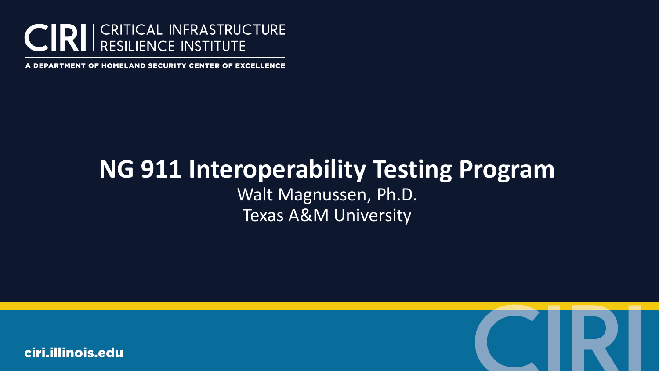

A DEPARTMENT OF HOMELAND SECURITY CENTER OF EXCELLENCE

### **NG 911 Interoperability Testing Program** Walt Magnussen, Ph.D. Texas A&M University

ciri.illinois.edu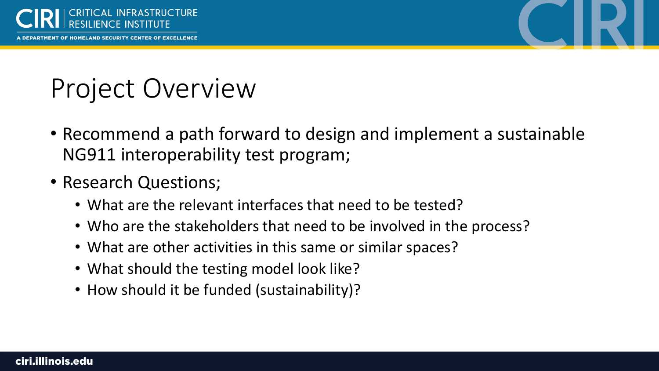

INT OF HOMELAND SECURITY CENTER OF EXCELLENCE



### Project Overview

- Recommend a path forward to design and implement a sustainable NG911 interoperability test program;
- Research Questions;
	- What are the relevant interfaces that need to be tested?
	- Who are the stakeholders that need to be involved in the process?
	- What are other activities in this same or similar spaces?
	- What should the testing model look like?
	- How should it be funded (sustainability)?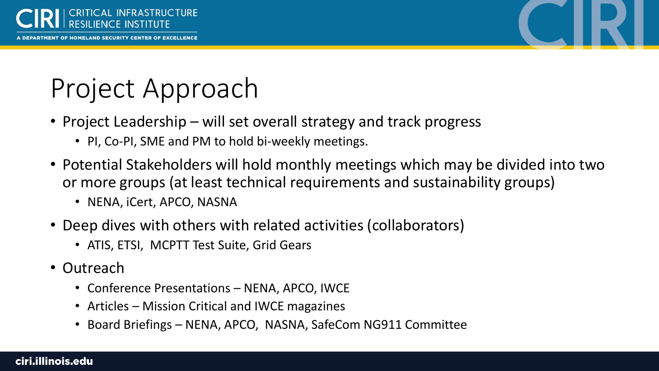



# Project Approach

- Project Leadership will set overall strategy and track progress
	- PI, Co-PI, SME and PM to hold bi-weekly meetings.
- Potential Stakeholders will hold monthly meetings which may be divided into two or more groups (at least technical requirements and sustainability groups)
	- NENA, iCert, APCO, NASNA
- Deep dives with others with related activities (collaborators)
	- ATIS, ETSI, MCPTT Test Suite, Grid Gears
- Outreach
	- Conference Presentations NENA, APCO, IWCE
	- Articles Mission Critical and IWCE magazines
	- Board Briefings NENA, APCO, NASNA, SafeCom NG911 Committee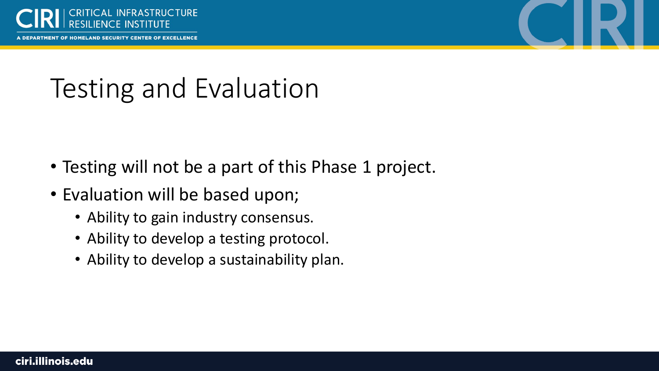

PARTMENT OF HOMELAND SECURITY CENTER OF EXCELLENCE

# Testing and Evaluation

- Testing will not be a part of this Phase 1 project.
- Evaluation will be based upon;
	- Ability to gain industry consensus.
	- Ability to develop a testing protocol.
	- Ability to develop a sustainability plan.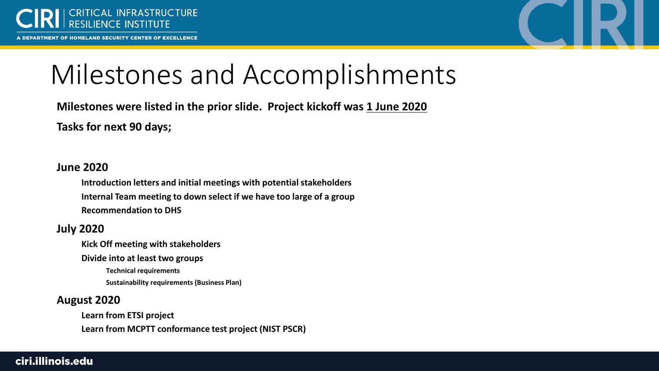

A DEPARTMENT OF HOMELAND SECURITY CENTER OF EXCELLENCE



### Milestones and Accomplishments

**Milestones were listed in the prior slide. Project kickoff was 1 June 2020 Tasks for next 90 days;**

#### **June 2020**

**Introduction letters and initial meetings with potential stakeholders Internal Team meeting to down select if we have too large of a group Recommendation to DHS**

#### **July 2020**

**Kick Off meeting with stakeholders**

**Divide into at least two groups**

**Technical requirements Sustainability requirements (Business Plan)**

#### **August 2020**

**Learn from ETSI project Learn from MCPTT conformance test project (NIST PSCR)**

#### ciri.illinois.edu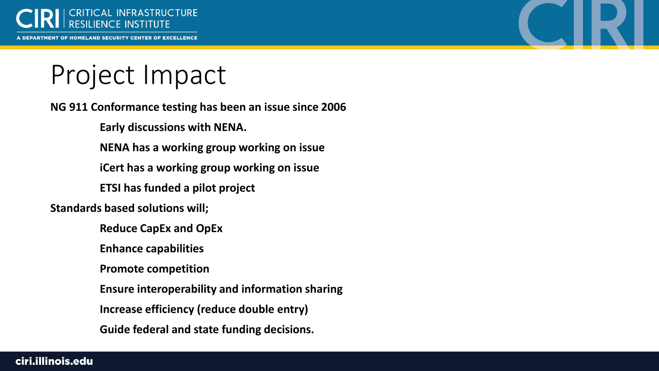

A DEPARTMENT OF HOMELAND SECURITY CENTER OF EXCELLENCE



### Project Impact

**NG 911 Conformance testing has been an issue since 2006**

**Early discussions with NENA.**

**NENA has a working group working on issue**

**iCert has a working group working on issue**

**ETSI has funded a pilot project**

**Standards based solutions will;**

**Reduce CapEx and OpEx**

**Enhance capabilities**

**Promote competition**

**Ensure interoperability and information sharing**

**Increase efficiency (reduce double entry)**

**Guide federal and state funding decisions.**

ciri.illinois.edu